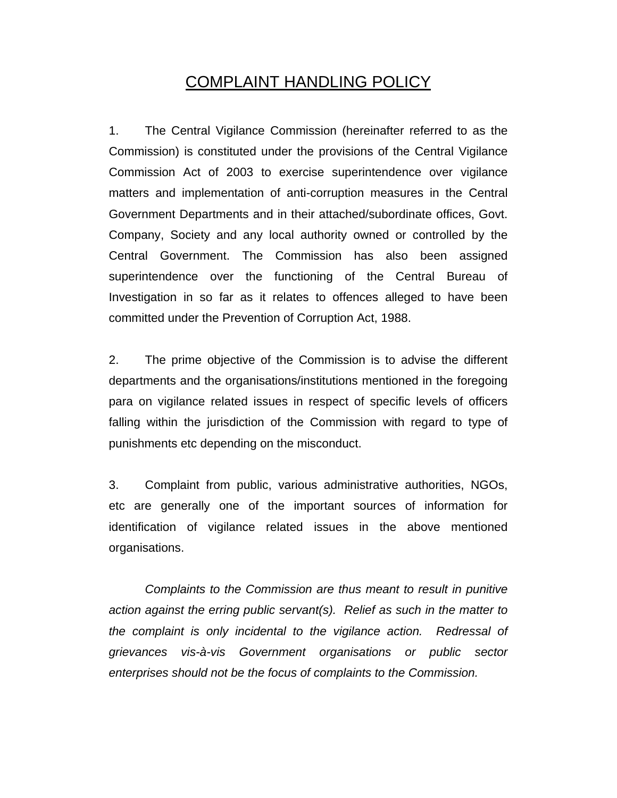## COMPLAINT HANDLING POLICY

1. The Central Vigilance Commission (hereinafter referred to as the Commission) is constituted under the provisions of the Central Vigilance Commission Act of 2003 to exercise superintendence over vigilance matters and implementation of anti-corruption measures in the Central Government Departments and in their attached/subordinate offices, Govt. Company, Society and any local authority owned or controlled by the Central Government. The Commission has also been assigned superintendence over the functioning of the Central Bureau of Investigation in so far as it relates to offences alleged to have been committed under the Prevention of Corruption Act, 1988.

2. The prime objective of the Commission is to advise the different departments and the organisations/institutions mentioned in the foregoing para on vigilance related issues in respect of specific levels of officers falling within the jurisdiction of the Commission with regard to type of punishments etc depending on the misconduct.

3. Complaint from public, various administrative authorities, NGOs, etc are generally one of the important sources of information for identification of vigilance related issues in the above mentioned organisations.

*Complaints to the Commission are thus meant to result in punitive action against the erring public servant(s). Relief as such in the matter to the complaint is only incidental to the vigilance action. Redressal of grievances vis-à-vis Government organisations or public sector enterprises should not be the focus of complaints to the Commission.*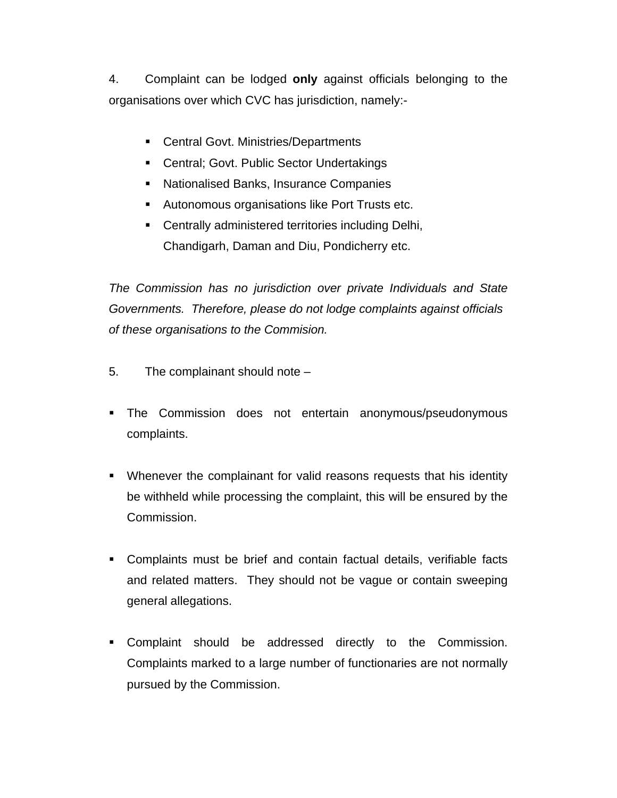4. Complaint can be lodged **only** against officials belonging to the organisations over which CVC has jurisdiction, namely:-

- Central Govt. Ministries/Departments
- **EXEC** Central; Govt. Public Sector Undertakings
- **EXEC** Nationalised Banks, Insurance Companies
- **Autonomous organisations like Port Trusts etc.**
- **EXEC** Centrally administered territories including Delhi, Chandigarh, Daman and Diu, Pondicherry etc.

*The Commission has no jurisdiction over private Individuals and State Governments. Therefore, please do not lodge complaints against officials of these organisations to the Commision.*

- 5. The complainant should note –
- **The Commission does not entertain anonymous/pseudonymous** complaints.
- Whenever the complainant for valid reasons requests that his identity be withheld while processing the complaint, this will be ensured by the Commission.
- Complaints must be brief and contain factual details, verifiable facts and related matters. They should not be vague or contain sweeping general allegations.
- **•** Complaint should be addressed directly to the Commission. Complaints marked to a large number of functionaries are not normally pursued by the Commission.